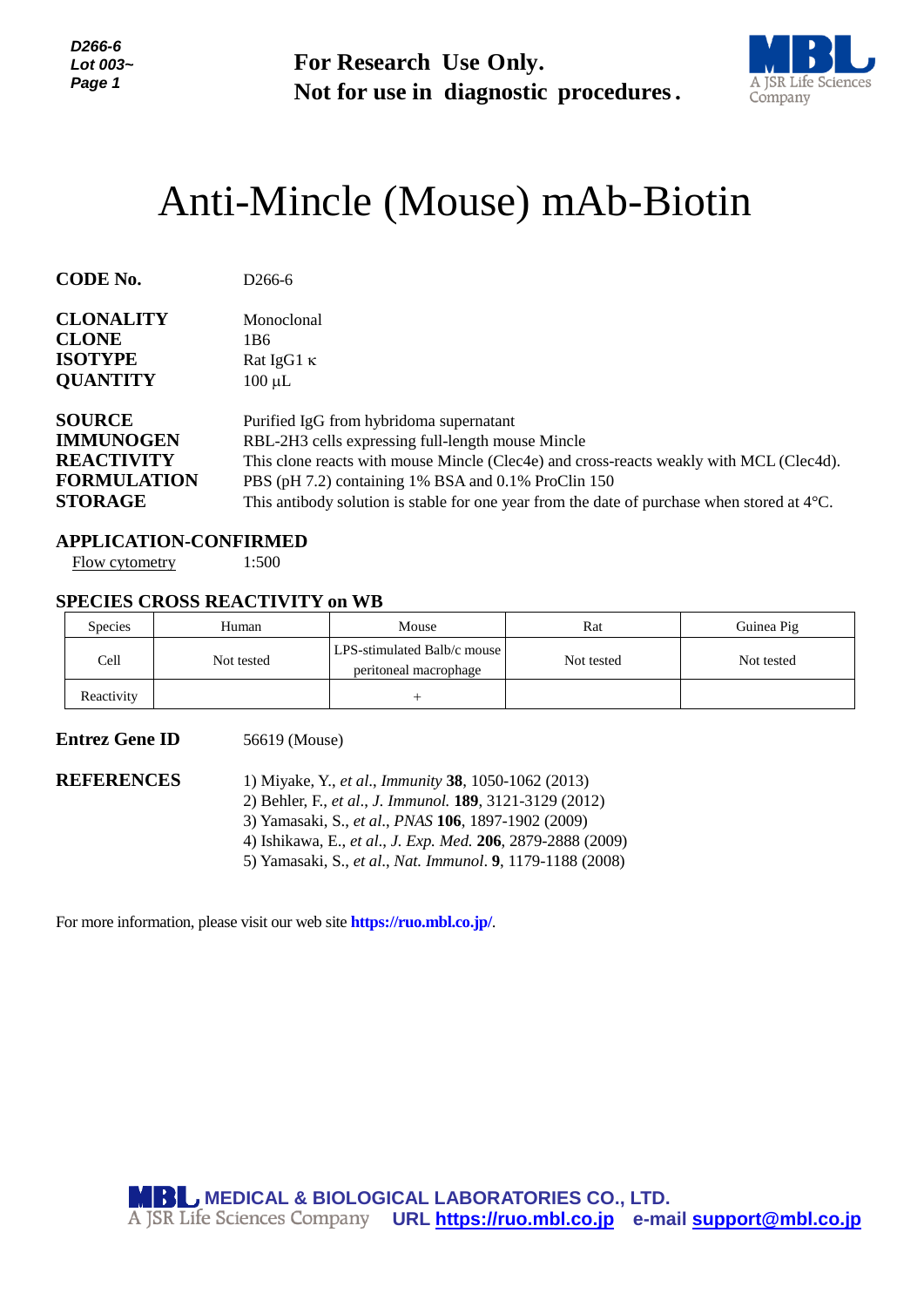*D266-6 Lot 003~ Page 1*



# Anti-Mincle (Mouse) mAb-Biotin

| Lot $003-$<br>Page 1                                                                                                                                    |                                                                   | For Research Use Only.<br>Not for use in diagnostic procedures.                                                                                                                                                                                                                                                                                         |                   |                                                                                |  |  |  |
|---------------------------------------------------------------------------------------------------------------------------------------------------------|-------------------------------------------------------------------|---------------------------------------------------------------------------------------------------------------------------------------------------------------------------------------------------------------------------------------------------------------------------------------------------------------------------------------------------------|-------------------|--------------------------------------------------------------------------------|--|--|--|
|                                                                                                                                                         |                                                                   | Anti-Mincle (Mouse) mAb-Biotin                                                                                                                                                                                                                                                                                                                          |                   |                                                                                |  |  |  |
| <b>CODE No.</b>                                                                                                                                         | D <sub>266</sub> -6                                               |                                                                                                                                                                                                                                                                                                                                                         |                   |                                                                                |  |  |  |
| <b>CLONALITY</b><br><b>CLONE</b><br><b>ISOTYPE</b><br><b>QUANTITY</b>                                                                                   | Monoclonal<br>1 <sub>B6</sub><br>Rat IgG1 $\kappa$<br>$100 \mu L$ |                                                                                                                                                                                                                                                                                                                                                         |                   |                                                                                |  |  |  |
| <b>SOURCE</b><br><b>IMMUNOGEN</b><br><b>REACTIVITY</b><br><b>FORMULATION</b><br><b>STORAGE</b><br><b>APPLICATION-CONFIRMED</b><br><b>Flow cytometry</b> | 1:500                                                             | Purified IgG from hybridoma supernatant<br>RBL-2H3 cells expressing full-length mouse Mincle<br>This clone reacts with mouse Mincle (Clec4e) and cross-reacts weakly with MCL (Clec4d).<br>PBS (pH 7.2) containing 1% BSA and 0.1% ProClin 150<br>This antibody solution is stable for one year from the date of purchase when stored at $4^{\circ}$ C. |                   |                                                                                |  |  |  |
|                                                                                                                                                         | <b>SPECIES CROSS REACTIVITY on WB</b>                             |                                                                                                                                                                                                                                                                                                                                                         |                   |                                                                                |  |  |  |
| Species<br>Cell                                                                                                                                         | Human<br>Not tested                                               | Mouse<br>LPS-stimulated Balb/c mouse<br>peritoneal macrophage                                                                                                                                                                                                                                                                                           | Rat<br>Not tested | Guinea Pig<br>Not tested                                                       |  |  |  |
| Reactivity                                                                                                                                              |                                                                   | $^{+}$                                                                                                                                                                                                                                                                                                                                                  |                   |                                                                                |  |  |  |
| <b>Entrez Gene ID</b><br><b>REFERENCES</b>                                                                                                              | 56619 (Mouse)                                                     | 1) Miyake, Y., et al., Immunity 38, 1050-1062 (2013)<br>2) Behler, F., et al., J. Immunol. 189, 3121-3129 (2012)<br>3) Yamasaki, S., et al., PNAS 106, 1897-1902 (2009)<br>4) Ishikawa, E., et al., J. Exp. Med. 206, 2879-2888 (2009)<br>5) Yamasaki, S., et al., Nat. Immunol. 9, 1179-1188 (2008)                                                    |                   |                                                                                |  |  |  |
|                                                                                                                                                         |                                                                   | For more information, please visit our web site <b>https://ruo.mbl.co.jp/</b> .                                                                                                                                                                                                                                                                         |                   |                                                                                |  |  |  |
|                                                                                                                                                         |                                                                   | MBL MEDICAL & BIOLOGICAL LABORATORIES CO., LTD.                                                                                                                                                                                                                                                                                                         |                   | A JSR Life Sciences Company URL https://ruo.mbl.co.jp e-mail support@mbl.co.jp |  |  |  |

#### **APPLICATION-CONFIRMED**

#### **SPECIES CROSS REACTIVITY on WB**

| <b>Species</b> | Human      | Mouse                                                  | Rat        | Guinea Pig |
|----------------|------------|--------------------------------------------------------|------------|------------|
| Cell           | Not tested | LPS-stimulated Balb/c mouse I<br>peritoneal macrophage | Not tested | Not tested |
| Reactivity     |            |                                                        |            |            |

## **Entrez Gene ID** 56619 (Mouse)

- 2) Behler, F., *et al*., *J. Immunol.* **189**, 3121-3129 (2012)
- 3) Yamasaki, S., *et al*., *PNAS* **106**, 1897-1902 (2009)
- 4) Ishikawa, E., *et al*., *J. Exp. Med.* **206**, 2879-2888 (2009)
- 5) Yamasaki, S., *et al*., *Nat. Immunol*. **9**, 1179-1188 (2008)